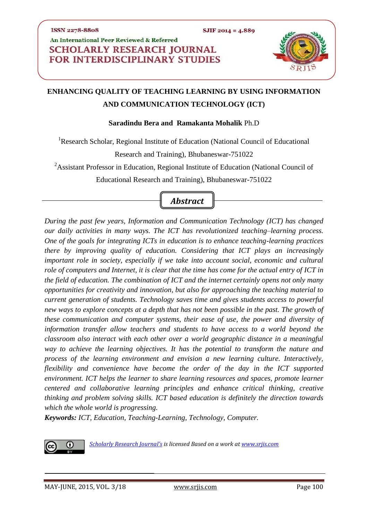## An International Peer Reviewed & Referred **SCHOLARLY RESEARCH JOURNAL FOR INTERDISCIPLINARY STUDIES**



# **ENHANCING QUALITY OF TEACHING LEARNING BY USING INFORMATION AND COMMUNICATION TECHNOLOGY (ICT)**

#### **Saradindu Bera and Ramakanta Mohalik** Ph.D

<sup>1</sup>Research Scholar, Regional Institute of Education (National Council of Educational

Research and Training), Bhubaneswar-751022

<sup>2</sup>Assistant Professor in Education, Regional Institute of Education (National Council of

Educational Research and Training), Bhubaneswar-751022

# *Abstract*

*During the past few years, Information and Communication Technology (ICT) has changed our daily activities in many ways. The ICT has revolutionized teaching–learning process. One of the goals for integrating ICTs in education is to enhance teaching-learning practices there by improving quality of education. Considering that ICT plays an increasingly important role in society, especially if we take into account social, economic and cultural role of computers and Internet, it is clear that the time has come for the actual entry of ICT in the field of education. The combination of ICT and the internet certainly opens not only many opportunities for creativity and innovation, but also for approaching the teaching material to current generation of students. Technology saves time and gives students access to powerful new ways to explore concepts at a depth that has not been possible in the past. The growth of these communication and computer systems, their ease of use, the power and diversity of information transfer allow teachers and students to have access to a world beyond the classroom also interact with each other over a world geographic distance in a meaningful way to achieve the learning objectives. It has the potential to transform the nature and process of the learning environment and envision a new learning culture. Interactively, flexibility and convenience have become the order of the day in the ICT supported environment. ICT helps the learner to share learning resources and spaces, promote learner centered and collaborative learning principles and enhance critical thinking, creative thinking and problem solving skills. ICT based education is definitely the direction towards which the whole world is progressing.*

*Keywords: ICT, Education, Teaching-Learning, Technology, Computer.* 



*[Scholarly Research Journal's](http://www.srjis.com/srjis_new/www.srjis.com) is licensed Based on a work at [www.srjis.com](http://www.srjis.com/srjis_new/www.srjis.com)*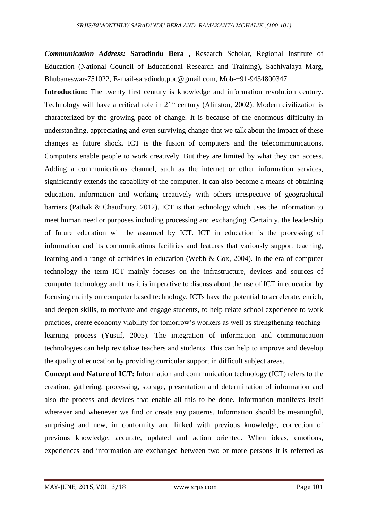*Communication Address:* **Saradindu Bera ,** Research Scholar, Regional Institute of Education (National Council of Educational Research and Training), Sachivalaya Marg, Bhubaneswar-751022, [E-mail-saradindu.pbc@gmail.com,](mailto:E-mail-saradindu.pbc@gmail.com) Mob-+91-9434800347

**Introduction:** The twenty first century is knowledge and information revolution century. Technology will have a critical role in  $21<sup>st</sup>$  century (Alinston, 2002). Modern civilization is characterized by the growing pace of change. It is because of the enormous difficulty in understanding, appreciating and even surviving change that we talk about the impact of these changes as future shock. ICT is the fusion of computers and the telecommunications. Computers enable people to work creatively. But they are limited by what they can access. Adding a communications channel, such as the internet or other information services, significantly extends the capability of the computer. It can also become a means of obtaining education, information and working creatively with others irrespective of geographical barriers (Pathak & Chaudhury, 2012). ICT is that technology which uses the information to meet human need or purposes including processing and exchanging. Certainly, the leadership of future education will be assumed by ICT. ICT in education is the processing of information and its communications facilities and features that variously support teaching, learning and a range of activities in education (Webb & Cox, 2004). In the era of computer technology the term ICT mainly focuses on the infrastructure, devices and sources of computer technology and thus it is imperative to discuss about the use of ICT in education by focusing mainly on computer based technology. ICTs have the potential to accelerate, enrich, and deepen skills, to motivate and engage students, to help relate school experience to work practices, create economy viability for tomorrow's workers as well as strengthening teachinglearning process (Yusuf, 2005). The integration of information and communication technologies can help revitalize teachers and students. This can help to improve and develop the quality of education by providing curricular support in difficult subject areas.

**Concept and Nature of ICT:** Information and communication technology (ICT) refers to the creation, gathering, processing, storage, presentation and determination of information and also the process and devices that enable all this to be done. Information manifests itself wherever and whenever we find or create any patterns. Information should be meaningful, surprising and new, in conformity and linked with previous knowledge, correction of previous knowledge, accurate, updated and action oriented. When ideas, emotions, experiences and information are exchanged between two or more persons it is referred as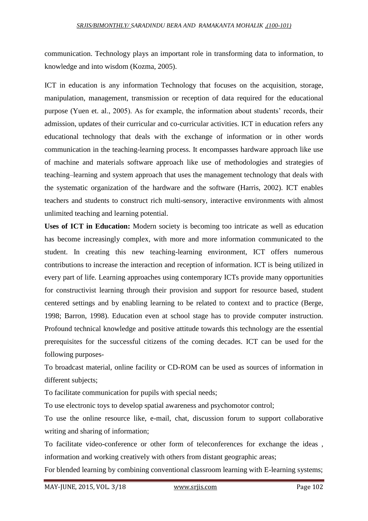#### *SRJIS/BIMONTHLY/ SARADINDU BERA AND RAMAKANTA MOHALIK ,(100-101)*

communication. Technology plays an important role in transforming data to information, to knowledge and into wisdom (Kozma, 2005).

ICT in education is any information Technology that focuses on the acquisition, storage, manipulation, management, transmission or reception of data required for the educational purpose (Yuen et. al., 2005). As for example, the information about students' records, their admission, updates of their curricular and co-curricular activities. ICT in education refers any educational technology that deals with the exchange of information or in other words communication in the teaching-learning process. It encompasses hardware approach like use of machine and materials software approach like use of methodologies and strategies of teaching–learning and system approach that uses the management technology that deals with the systematic organization of the hardware and the software (Harris, 2002). ICT enables teachers and students to construct rich multi-sensory, interactive environments with almost unlimited teaching and learning potential.

**Uses of ICT in Education:** Modern society is becoming too intricate as well as education has become increasingly complex, with more and more information communicated to the student. In creating this new teaching-learning environment, ICT offers numerous contributions to increase the interaction and reception of information. ICT is being utilized in every part of life. Learning approaches using contemporary ICTs provide many opportunities for constructivist learning through their provision and support for resource based, student centered settings and by enabling learning to be related to context and to practice (Berge, 1998; Barron, 1998). Education even at school stage has to provide computer instruction. Profound technical knowledge and positive attitude towards this technology are the essential prerequisites for the successful citizens of the coming decades. ICT can be used for the following purposes-

To broadcast material, online facility or CD-ROM can be used as sources of information in different subjects;

To facilitate communication for pupils with special needs;

To use electronic toys to develop spatial awareness and psychomotor control;

To use the online resource like, e-mail, chat, discussion forum to support collaborative writing and sharing of information;

To facilitate video-conference or other form of teleconferences for exchange the ideas , information and working creatively with others from distant geographic areas;

For blended learning by combining conventional classroom learning with E-learning systems;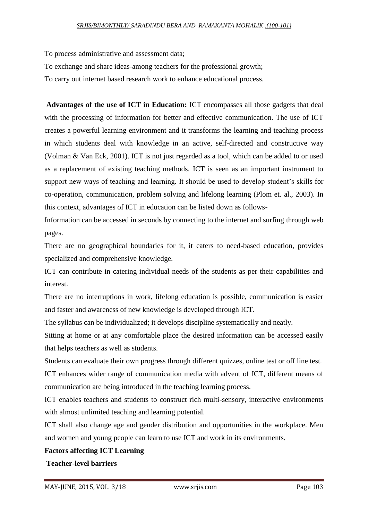To process administrative and assessment data;

To exchange and share ideas-among teachers for the professional growth;

To carry out internet based research work to enhance educational process.

**Advantages of the use of ICT in Education:** ICT encompasses all those gadgets that deal with the processing of information for better and effective communication. The use of ICT creates a powerful learning environment and it transforms the learning and teaching process in which students deal with knowledge in an active, self-directed and constructive way (Volman & Van Eck, 2001). ICT is not just regarded as a tool, which can be added to or used as a replacement of existing teaching methods. ICT is seen as an important instrument to support new ways of teaching and learning. It should be used to develop student's skills for co-operation, communication, problem solving and lifelong learning (Plom et. al., 2003). In this context, advantages of ICT in education can be listed down as follows-

Information can be accessed in seconds by connecting to the internet and surfing through web pages.

There are no geographical boundaries for it, it caters to need-based education, provides specialized and comprehensive knowledge.

ICT can contribute in catering individual needs of the students as per their capabilities and interest.

There are no interruptions in work, lifelong education is possible, communication is easier and faster and awareness of new knowledge is developed through ICT.

The syllabus can be individualized; it develops discipline systematically and neatly.

Sitting at home or at any comfortable place the desired information can be accessed easily that helps teachers as well as students.

Students can evaluate their own progress through different quizzes, online test or off line test.

ICT enhances wider range of communication media with advent of ICT, different means of communication are being introduced in the teaching learning process.

ICT enables teachers and students to construct rich multi-sensory, interactive environments with almost unlimited teaching and learning potential.

ICT shall also change age and gender distribution and opportunities in the workplace. Men and women and young people can learn to use ICT and work in its environments.

### **Factors affecting ICT Learning**

**Teacher-level barriers**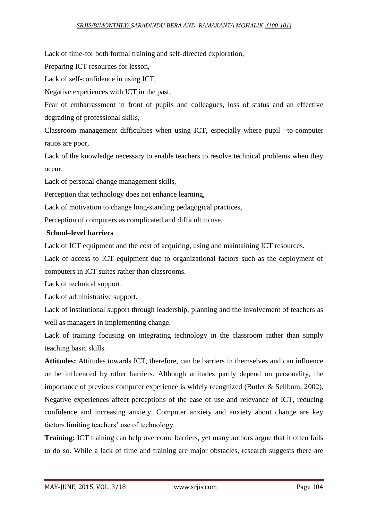Lack of time-for both formal training and self-directed exploration,

Preparing ICT resources for lesson,

Lack of self-confidence in using ICT,

Negative experiences with ICT in the past,

Fear of embarrassment in front of pupils and colleagues, loss of status and an effective degrading of professional skills,

Classroom management difficulties when using ICT, especially where pupil –to-computer ratios are poor,

Lack of the knowledge necessary to enable teachers to resolve technical problems when they occur,

Lack of personal change management skills,

Perception that technology does not enhance learning,

Lack of motivation to change long-standing pedagogical practices,

Perception of computers as complicated and difficult to use.

#### **School–level barriers**

Lack of ICT equipment and the cost of acquiring, using and maintaining ICT resources.

Lack of access to ICT equipment due to organizational factors such as the deployment of computers in ICT suites rather than classrooms.

Lack of technical support.

Lack of administrative support.

Lack of institutional support through leadership, planning and the involvement of teachers as well as managers in implementing change.

Lack of training focusing on integrating technology in the classroom rather than simply teaching basic skills.

**Attitudes:** Attitudes towards ICT, therefore, can be barriers in themselves and can influence or be influenced by other barriers. Although attitudes partly depend on personality, the importance of previous computer experience is widely recognized (Butler & Sellbom, 2002). Negative experiences affect perceptions of the ease of use and relevance of ICT, reducing confidence and increasing anxiety. Computer anxiety and anxiety about change are key factors limiting teachers' use of technology.

**Training:** ICT training can help overcome barriers, yet many authors argue that it often fails to do so. While a lack of time and training are major obstacles, research suggests there are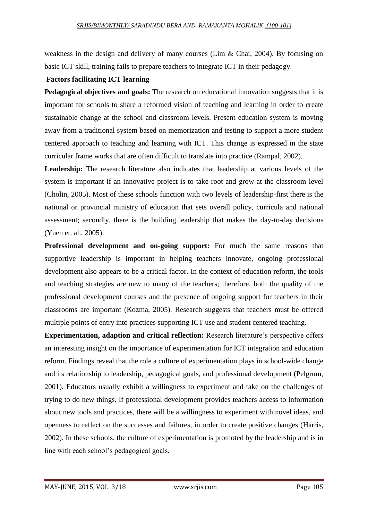weakness in the design and delivery of many courses (Lim & Chai, 2004). By focusing on basic ICT skill, training fails to prepare teachers to integrate ICT in their pedagogy.

#### **Factors facilitating ICT learning**

**Pedagogical objectives and goals:** The research on educational innovation suggests that it is important for schools to share a reformed vision of teaching and learning in order to create sustainable change at the school and classroom levels. Present education system is moving away from a traditional system based on memorization and testing to support a more student centered approach to teaching and learning with ICT. This change is expressed in the state curricular frame works that are often difficult to translate into practice (Rampal, 2002).

Leadership: The research literature also indicates that leadership at various levels of the system is important if an innovative project is to take root and grow at the classroom level (Cholin, 2005). Most of these schools function with two levels of leadership-first there is the national or provincial ministry of education that sets overall policy, curricula and national assessment; secondly, there is the building leadership that makes the day-to-day decisions (Yuen et. al., 2005).

**Professional development and on-going support:** For much the same reasons that supportive leadership is important in helping teachers innovate, ongoing professional development also appears to be a critical factor. In the context of education reform, the tools and teaching strategies are new to many of the teachers; therefore, both the quality of the professional development courses and the presence of ongoing support for teachers in their classrooms are important (Kozma, 2005). Research suggests that teachers must be offered multiple points of entry into practices supporting ICT use and student centered teaching.

**Experimentation, adaption and critical reflection:** Research literature's perspective offers an interesting insight on the importance of experimentation for ICT integration and education reform. Findings reveal that the role a culture of experimentation plays in school-wide change and its relationship to leadership, pedagogical goals, and professional development (Pelgrum, 2001). Educators usually exhibit a willingness to experiment and take on the challenges of trying to do new things. If professional development provides teachers access to information about new tools and practices, there will be a willingness to experiment with novel ideas, and openness to reflect on the successes and failures, in order to create positive changes (Harris, 2002). In these schools, the culture of experimentation is promoted by the leadership and is in line with each school's pedagogical goals.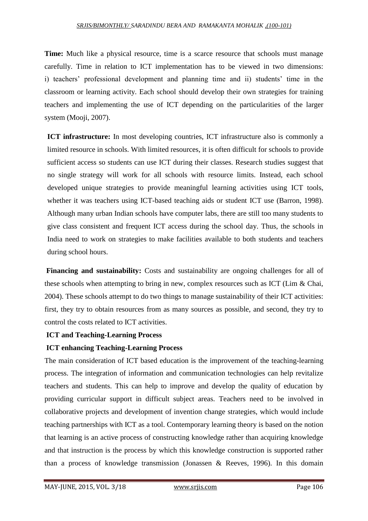#### *SRJIS/BIMONTHLY/ SARADINDU BERA AND RAMAKANTA MOHALIK ,(100-101)*

**Time:** Much like a physical resource, time is a scarce resource that schools must manage carefully. Time in relation to ICT implementation has to be viewed in two dimensions: i) teachers' professional development and planning time and ii) students' time in the classroom or learning activity. Each school should develop their own strategies for training teachers and implementing the use of ICT depending on the particularities of the larger system (Mooji, 2007).

**ICT infrastructure:** In most developing countries, ICT infrastructure also is commonly a limited resource in schools. With limited resources, it is often difficult for schools to provide sufficient access so students can use ICT during their classes. Research studies suggest that no single strategy will work for all schools with resource limits. Instead, each school developed unique strategies to provide meaningful learning activities using ICT tools, whether it was teachers using ICT-based teaching aids or student ICT use (Barron, 1998). Although many urban Indian schools have computer labs, there are still too many students to give class consistent and frequent ICT access during the school day. Thus, the schools in India need to work on strategies to make facilities available to both students and teachers during school hours.

**Financing and sustainability:** Costs and sustainability are ongoing challenges for all of these schools when attempting to bring in new, complex resources such as ICT (Lim & Chai, 2004). These schools attempt to do two things to manage sustainability of their ICT activities: first, they try to obtain resources from as many sources as possible, and second, they try to control the costs related to ICT activities.

### **ICT and Teaching-Learning Process**

### **ICT enhancing Teaching-Learning Process**

The main consideration of ICT based education is the improvement of the teaching-learning process. The integration of information and communication technologies can help revitalize teachers and students. This can help to improve and develop the quality of education by providing curricular support in difficult subject areas. Teachers need to be involved in collaborative projects and development of invention change strategies, which would include teaching partnerships with ICT as a tool. Contemporary learning theory is based on the notion that learning is an active process of constructing knowledge rather than acquiring knowledge and that instruction is the process by which this knowledge construction is supported rather than a process of knowledge transmission (Jonassen & Reeves, 1996). In this domain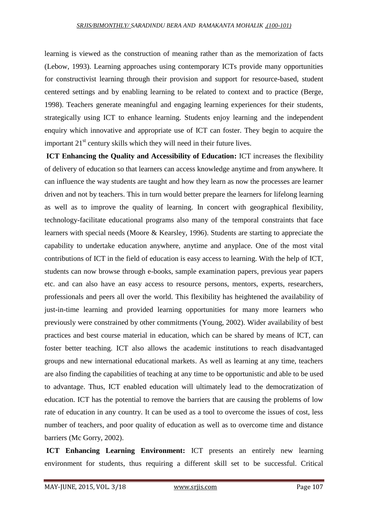learning is viewed as the construction of meaning rather than as the memorization of facts (Lebow, 1993). Learning approaches using contemporary ICTs provide many opportunities for constructivist learning through their provision and support for resource-based, student centered settings and by enabling learning to be related to context and to practice (Berge, 1998). Teachers generate meaningful and engaging learning experiences for their students, strategically using ICT to enhance learning. Students enjoy learning and the independent enquiry which innovative and appropriate use of ICT can foster. They begin to acquire the important  $21<sup>st</sup>$  century skills which they will need in their future lives.

**ICT Enhancing the Quality and Accessibility of Education:** ICT increases the flexibility of delivery of education so that learners can access knowledge anytime and from anywhere. It can influence the way students are taught and how they learn as now the processes are learner driven and not by teachers. This in turn would better prepare the learners for lifelong learning as well as to improve the quality of learning. In concert with geographical flexibility, technology-facilitate educational programs also many of the temporal constraints that face learners with special needs (Moore & Kearsley, 1996). Students are starting to appreciate the capability to undertake education anywhere, anytime and anyplace. One of the most vital contributions of ICT in the field of education is easy access to learning. With the help of ICT, students can now browse through e-books, sample examination papers, previous year papers etc. and can also have an easy access to resource persons, mentors, experts, researchers, professionals and peers all over the world. This flexibility has heightened the availability of just-in-time learning and provided learning opportunities for many more learners who previously were constrained by other commitments (Young, 2002). Wider availability of best practices and best course material in education, which can be shared by means of ICT, can foster better teaching. ICT also allows the academic institutions to reach disadvantaged groups and new international educational markets. As well as learning at any time, teachers are also finding the capabilities of teaching at any time to be opportunistic and able to be used to advantage. Thus, ICT enabled education will ultimately lead to the democratization of education. ICT has the potential to remove the barriers that are causing the problems of low rate of education in any country. It can be used as a tool to overcome the issues of cost, less number of teachers, and poor quality of education as well as to overcome time and distance barriers (Mc Gorry, 2002).

**ICT Enhancing Learning Environment:** ICT presents an entirely new learning environment for students, thus requiring a different skill set to be successful. Critical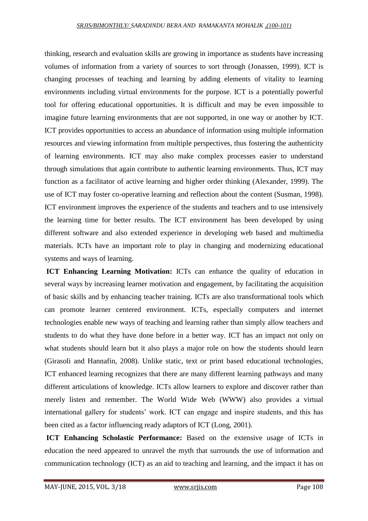thinking, research and evaluation skills are growing in importance as students have increasing volumes of information from a variety of sources to sort through (Jonassen, 1999). ICT is changing processes of teaching and learning by adding elements of vitality to learning environments including virtual environments for the purpose. ICT is a potentially powerful tool for offering educational opportunities. It is difficult and may be even impossible to imagine future learning environments that are not supported, in one way or another by ICT. ICT provides opportunities to access an abundance of information using multiple information resources and viewing information from multiple perspectives, thus fostering the authenticity of learning environments. ICT may also make complex processes easier to understand through simulations that again contribute to authentic learning environments. Thus, ICT may function as a facilitator of active learning and higher order thinking (Alexander, 1999). The use of ICT may foster co-operative learning and reflection about the content (Susman, 1998). ICT environment improves the experience of the students and teachers and to use intensively the learning time for better results. The ICT environment has been developed by using different software and also extended experience in developing web based and multimedia materials. ICTs have an important role to play in changing and modernizing educational systems and ways of learning.

**ICT Enhancing Learning Motivation:** ICTs can enhance the quality of education in several ways by increasing learner motivation and engagement, by facilitating the acquisition of basic skills and by enhancing teacher training. ICTs are also transformational tools which can promote learner centered environment. ICTs, especially computers and internet technologies enable new ways of teaching and learning rather than simply allow teachers and students to do what they have done before in a better way. ICT has an impact not only on what students should learn but it also plays a major role on how the students should learn (Girasoli and Hannafin, 2008). Unlike static, text or print based educational technologies, ICT enhanced learning recognizes that there are many different learning pathways and many different articulations of knowledge. ICTs allow learners to explore and discover rather than merely listen and remember. The World Wide Web (WWW) also provides a virtual international gallery for students' work. ICT can engage and inspire students, and this has been cited as a factor influencing ready adaptors of ICT (Long, 2001).

**ICT Enhancing Scholastic Performance:** Based on the extensive usage of ICTs in education the need appeared to unravel the myth that surrounds the use of information and communication technology (ICT) as an aid to teaching and learning, and the impact it has on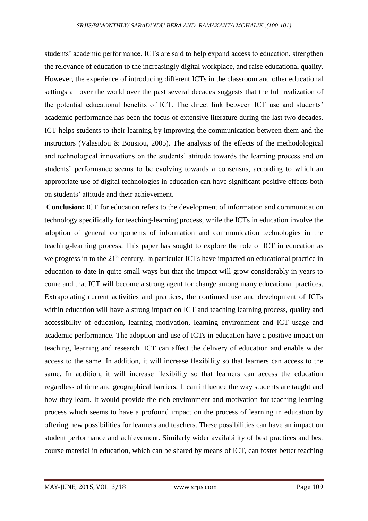students' academic performance. ICTs are said to help expand access to education, strengthen the relevance of education to the increasingly digital workplace, and raise educational quality. However, the experience of introducing different ICTs in the classroom and other educational settings all over the world over the past several decades suggests that the full realization of the potential educational benefits of ICT. The direct link between ICT use and students' academic performance has been the focus of extensive literature during the last two decades. ICT helps students to their learning by improving the communication between them and the instructors (Valasidou & Bousiou, 2005). The analysis of the effects of the methodological and technological innovations on the students' attitude towards the learning process and on students' performance seems to be evolving towards a consensus, according to which an appropriate use of digital technologies in education can have significant positive effects both on students' attitude and their achievement.

**Conclusion:** ICT for education refers to the development of information and communication technology specifically for teaching-learning process, while the ICTs in education involve the adoption of general components of information and communication technologies in the teaching-learning process. This paper has sought to explore the role of ICT in education as we progress in to the 21<sup>st</sup> century. In particular ICTs have impacted on educational practice in education to date in quite small ways but that the impact will grow considerably in years to come and that ICT will become a strong agent for change among many educational practices. Extrapolating current activities and practices, the continued use and development of ICTs within education will have a strong impact on ICT and teaching learning process, quality and accessibility of education, learning motivation, learning environment and ICT usage and academic performance. The adoption and use of ICTs in education have a positive impact on teaching, learning and research. ICT can affect the delivery of education and enable wider access to the same. In addition, it will increase flexibility so that learners can access to the same. In addition, it will increase flexibility so that learners can access the education regardless of time and geographical barriers. It can influence the way students are taught and how they learn. It would provide the rich environment and motivation for teaching learning process which seems to have a profound impact on the process of learning in education by offering new possibilities for learners and teachers. These possibilities can have an impact on student performance and achievement. Similarly wider availability of best practices and best course material in education, which can be shared by means of ICT, can foster better teaching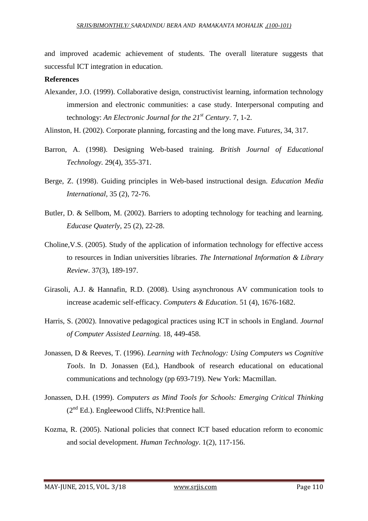and improved academic achievement of students. The overall literature suggests that successful ICT integration in education.

#### **References**

Alexander, J.O. (1999). Collaborative design, constructivist learning, information technology immersion and electronic communities: a case study. Interpersonal computing and technology: *An Electronic Journal for the 21st Century*. 7, 1-2.

Alinston, H. (2002). Corporate planning, forcasting and the long mave. *Futures*, 34, 317.

- Barron, A. (1998). Designing Web-based training. *British Journal of Educational Technology.* 29(4), 355-371.
- Berge, Z. (1998). Guiding principles in Web-based instructional design. *Education Media International,* 35 (2), 72-76.
- Butler, D. & Sellbom, M. (2002). Barriers to adopting technology for teaching and learning. *Educase Quaterly*, 25 (2), 22-28.
- Choline,V.S. (2005). Study of the application of information technology for effective access to resources in Indian universities libraries. *The International Information & Library Review*. 37(3), 189-197.
- Girasoli, A.J. & Hannafin, R.D. (2008). Using asynchronous AV communication tools to increase academic self-efficacy. *Computers & Education*. 51 (4), 1676-1682.
- Harris, S. (2002). Innovative pedagogical practices using ICT in schools in England. *Journal of Computer Assisted Learning.* 18, 449-458.
- Jonassen, D & Reeves, T. (1996). *Learning with Technology: Using Computers ws Cognitive Tools*. In D. Jonassen (Ed.), Handbook of research educational on educational communications and technology (pp 693-719). New York: Macmillan.
- Jonassen, D.H. (1999). *Computers as Mind Tools for Schools: Emerging Critical Thinking*   $(2<sup>nd</sup> Ed.)$ . Engleewood Cliffs, NJ:Prentice hall.
- Kozma, R. (2005). National policies that connect ICT based education reform to economic and social development. *Human Technology*. 1(2), 117-156.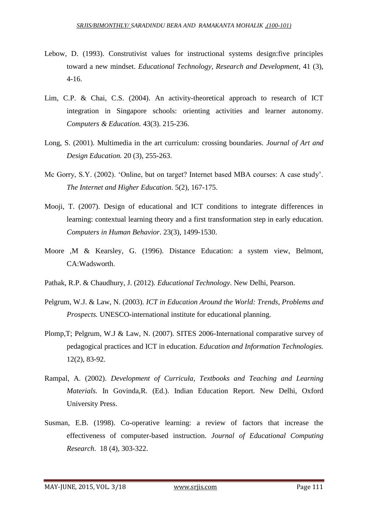- Lebow, D. (1993). Construtivist values for instructional systems design:five principles toward a new mindset. *Educational Technology, Research and Development*, 41 (3), 4-16.
- Lim, C.P. & Chai, C.S. (2004). An activity-theoretical approach to research of ICT integration in Singapore schools: orienting activities and learner autonomy. *Computers & Education.* 43(3). 215-236.
- Long, S. (2001). Multimedia in the art curriculum: crossing boundaries. *Journal of Art and Design Education.* 20 (3), 255-263.
- Mc Gorry, S.Y. (2002). 'Online, but on target? Internet based MBA courses: A case study'. *The Internet and Higher Education*. 5(2), 167-175.
- Mooji, T. (2007). Design of educational and ICT conditions to integrate differences in learning: contextual learning theory and a first transformation step in early education. *Computers in Human Behavior*. 23(3), 1499-1530.
- Moore ,M & Kearsley, G. (1996). Distance Education: a system view, Belmont, CA:Wadsworth.
- Pathak, R.P. & Chaudhury, J. (2012). *Educational Technology*. New Delhi, Pearson.
- Pelgrum, W.J. & Law, N. (2003). *ICT in Education Around the World: Trends, Problems and Prospects.* UNESCO-international institute for educational planning.
- Plomp,T; Pelgrum, W.J & Law, N. (2007). SITES 2006-International comparative survey of pedagogical practices and ICT in education. *Education and Information Technologies.*  12(2), 83-92.
- Rampal, A. (2002). *Development of Curricula, Textbooks and Teaching and Learning Materials.* In Govinda,R. (Ed.). Indian Education Report. New Delhi, Oxford University Press.
- Susman, E.B. (1998). Co-operative learning: a review of factors that increase the effectiveness of computer-based instruction. *Journal of Educational Computing Research*. 18 (4), 303-322.